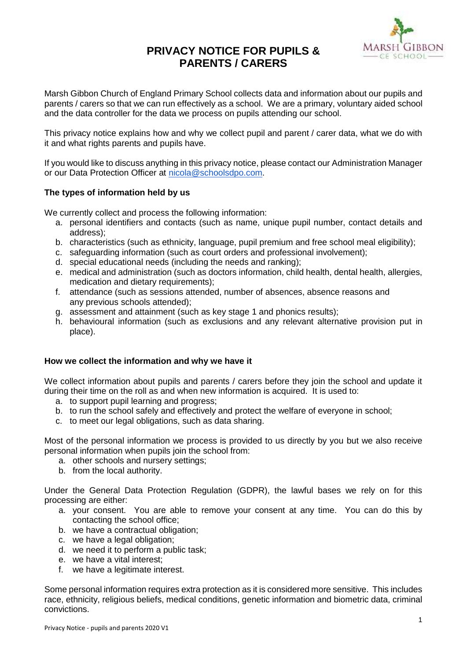# **PRIVACY NOTICE FOR PUPILS & PARENTS / CARERS**



Marsh Gibbon Church of England Primary School collects data and information about our pupils and parents / carers so that we can run effectively as a school. We are a primary, voluntary aided school and the data controller for the data we process on pupils attending our school.

This privacy notice explains how and why we collect pupil and parent / carer data, what we do with it and what rights parents and pupils have.

If you would like to discuss anything in this privacy notice, please contact our Administration Manager or our Data Protection Officer at [nicola@schoolsdpo.com.](mailto:nicola@schoolsdpo.com)

## **The types of information held by us**

We currently collect and process the following information:

- a. personal identifiers and contacts (such as name, unique pupil number, contact details and address);
- b. characteristics (such as ethnicity, language, pupil premium and free school meal eligibility);
- c. safeguarding information (such as court orders and professional involvement);
- d. special educational needs (including the needs and ranking);
- e. medical and administration (such as doctors information, child health, dental health, allergies, medication and dietary requirements);
- f. attendance (such as sessions attended, number of absences, absence reasons and any previous schools attended);
- g. assessment and attainment (such as key stage 1 and phonics results);
- h. behavioural information (such as exclusions and any relevant alternative provision put in place).

#### **How we collect the information and why we have it**

We collect information about pupils and parents / carers before they join the school and update it during their time on the roll as and when new information is acquired. It is used to:

- a. to support pupil learning and progress;
- b. to run the school safely and effectively and protect the welfare of everyone in school;
- c. to meet our legal obligations, such as data sharing.

Most of the personal information we process is provided to us directly by you but we also receive personal information when pupils join the school from:

- a. other schools and nursery settings;
- b. from the local authority.

Under the General Data Protection Regulation (GDPR), the lawful bases we rely on for this processing are either:

- a. your consent. You are able to remove your consent at any time. You can do this by contacting the school office;
- b. we have a contractual obligation;
- c. we have a legal obligation;
- d. we need it to perform a public task;
- e. we have a vital interest;
- f. we have a legitimate interest.

Some personal information requires extra protection as it is considered more sensitive. This includes race, ethnicity, religious beliefs, medical conditions, genetic information and biometric data, criminal convictions.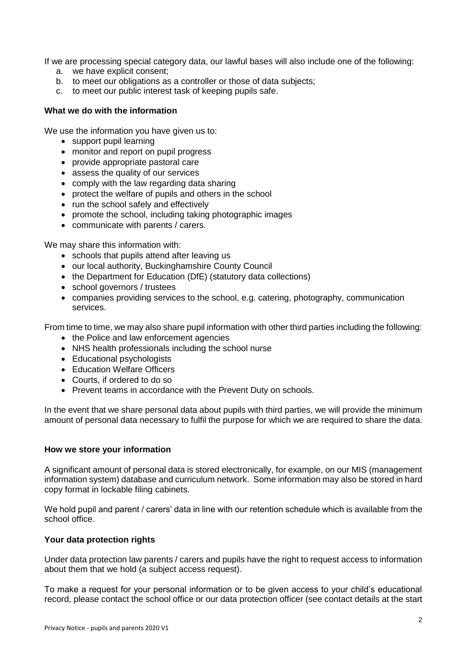If we are processing special category data, our lawful bases will also include one of the following:

- a. we have explicit consent;
- b. to meet our obligations as a controller or those of data subjects;
- c. to meet our public interest task of keeping pupils safe.

### **What we do with the information**

We use the information you have given us to:

- support pupil learning
- monitor and report on pupil progress
- provide appropriate pastoral care
- assess the quality of our services
- comply with the law regarding data sharing
- protect the welfare of pupils and others in the school
- run the school safely and effectively
- promote the school, including taking photographic images
- communicate with parents / carers.

We may share this information with:

- schools that pupils attend after leaving us
- our local authority, Buckinghamshire County Council
- the Department for Education (DfE) (statutory data collections)
- school governors / trustees
- companies providing services to the school, e.g. catering, photography, communication services.

From time to time, we may also share pupil information with other third parties including the following:

- the Police and law enforcement agencies
- NHS health professionals including the school nurse
- Educational psychologists
- Education Welfare Officers
- Courts, if ordered to do so
- Prevent teams in accordance with the Prevent Duty on schools.

In the event that we share personal data about pupils with third parties, we will provide the minimum amount of personal data necessary to fulfil the purpose for which we are required to share the data.

#### **How we store your information**

A significant amount of personal data is stored electronically, for example, on our MIS (management information system) database and curriculum network. Some information may also be stored in hard copy format in lockable filing cabinets.

We hold pupil and parent / carers' data in line with our retention schedule which is available from the school office.

#### **Your data protection rights**

Under data protection law parents / carers and pupils have the right to request access to information about them that we hold (a subject access request).

To make a request for your personal information or to be given access to your child's educational record, please contact the school office or our data protection officer (see contact details at the start